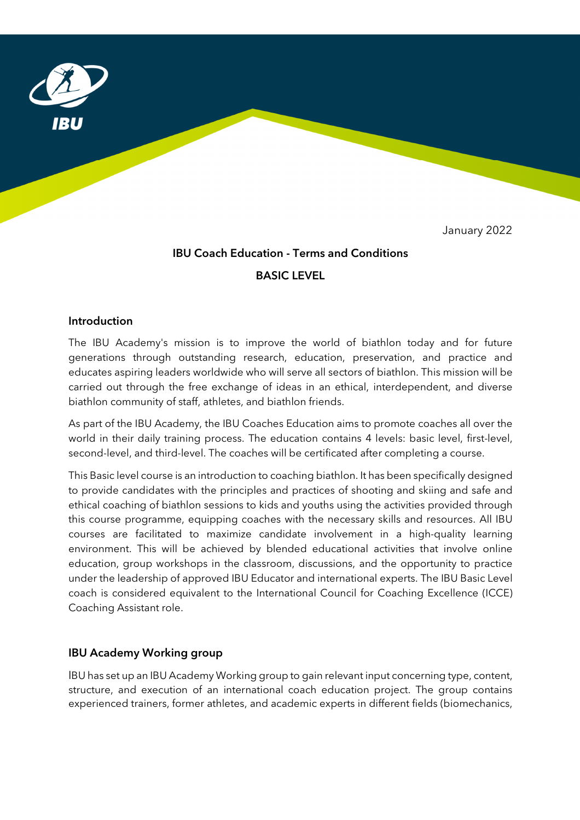

January 2022

# IBU Coach Education - Terms and Conditions BASIC LEVEL

#### Introduction

The IBU Academy's mission is to improve the world of biathlon today and for future generations through outstanding research, education, preservation, and practice and educates aspiring leaders worldwide who will serve all sectors of biathlon. This mission will be carried out through the free exchange of ideas in an ethical, interdependent, and diverse biathlon community of staff, athletes, and biathlon friends.

As part of the IBU Academy, the IBU Coaches Education aims to promote coaches all over the world in their daily training process. The education contains 4 levels: basic level, first-level, second-level, and third-level. The coaches will be certificated after completing a course.

This Basic level course is an introduction to coaching biathlon. It has been specifically designed to provide candidates with the principles and practices of shooting and skiing and safe and ethical coaching of biathlon sessions to kids and youths using the activities provided through this course programme, equipping coaches with the necessary skills and resources. All IBU courses are facilitated to maximize candidate involvement in a high-quality learning environment. This will be achieved by blended educational activities that involve online education, group workshops in the classroom, discussions, and the opportunity to practice under the leadership of approved IBU Educator and international experts. The IBU Basic Level coach is considered equivalent to the International Council for Coaching Excellence (ICCE) Coaching Assistant role.

#### IBU Academy Working group

IBU has set up an IBU Academy Working group to gain relevant input concerning type, content, structure, and execution of an international coach education project. The group contains experienced trainers, former athletes, and academic experts in different fields (biomechanics,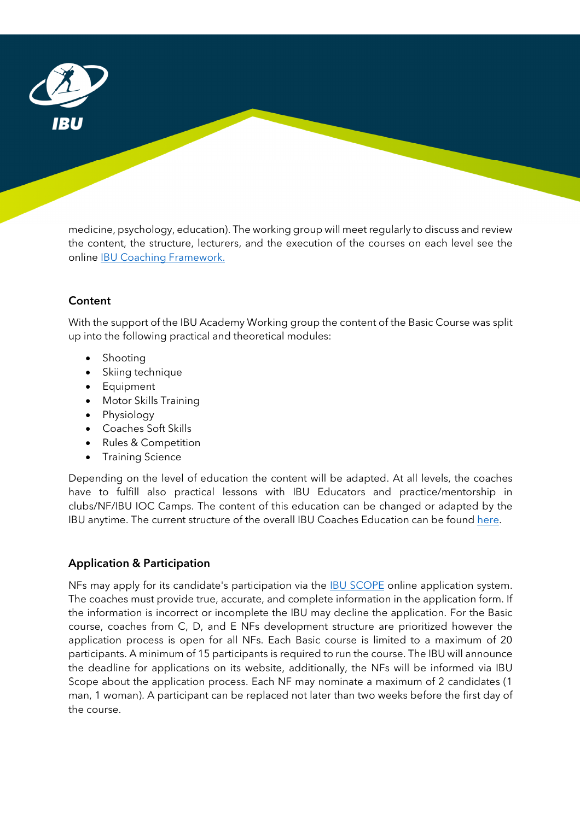

medicine, psychology, education). The working group will meet regularly to discuss and review the content, the structure, lecturers, and the execution of the courses on each level see the online IBU Coaching Framework.

## Content

With the support of the IBU Academy Working group the content of the Basic Course was split up into the following practical and theoretical modules:

- Shooting
- Skiing technique
- **•** Equipment
- Motor Skills Training
- Physiology
- Coaches Soft Skills
- Rules & Competition
- Training Science

Depending on the level of education the content will be adapted. At all levels, the coaches have to fulfill also practical lessons with IBU Educators and practice/mentorship in clubs/NF/IBU IOC Camps. The content of this education can be changed or adapted by the IBU anytime. The current structure of the overall IBU Coaches Education can be found here.

## Application & Participation

NFs may apply for its candidate's participation via the IBU SCOPE online application system. The coaches must provide true, accurate, and complete information in the application form. If the information is incorrect or incomplete the IBU may decline the application. For the Basic course, coaches from C, D, and E NFs development structure are prioritized however the application process is open for all NFs. Each Basic course is limited to a maximum of 20 participants. A minimum of 15 participants is required to run the course. The IBU will announce the deadline for applications on its website, additionally, the NFs will be informed via IBU Scope about the application process. Each NF may nominate a maximum of 2 candidates (1 man, 1 woman). A participant can be replaced not later than two weeks before the first day of the course.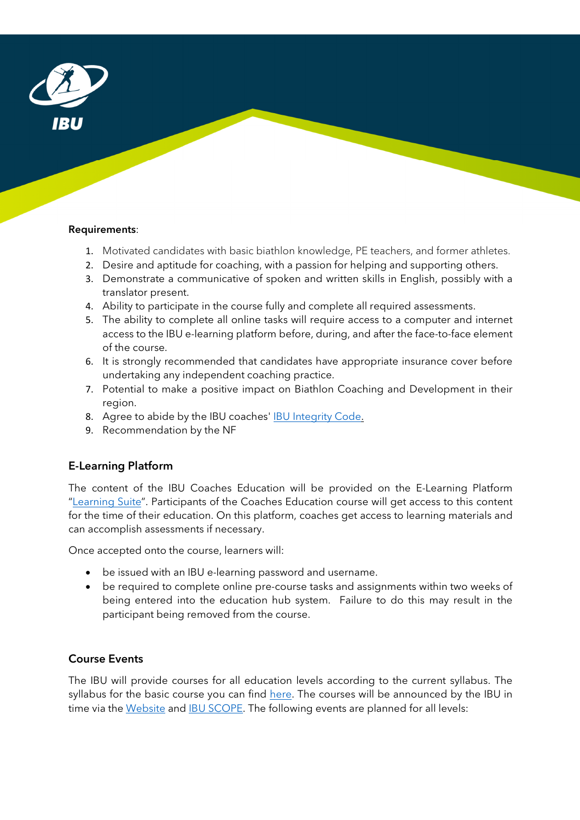

#### Requirements:

- 1. Motivated candidates with basic biathlon knowledge, PE teachers, and former athletes.
- 2. Desire and aptitude for coaching, with a passion for helping and supporting others.
- 3. Demonstrate a communicative of spoken and written skills in English, possibly with a translator present.
- 4. Ability to participate in the course fully and complete all required assessments.
- 5. The ability to complete all online tasks will require access to a computer and internet access to the IBU e-learning platform before, during, and after the face-to-face element of the course.
- 6. It is strongly recommended that candidates have appropriate insurance cover before undertaking any independent coaching practice.
- 7. Potential to make a positive impact on Biathlon Coaching and Development in their region.
- 8. Agree to abide by the IBU coaches' IBU Integrity Code.
- 9. Recommendation by the NF

## E-Learning Platform

The content of the IBU Coaches Education will be provided on the E-Learning Platform "Learning Suite". Participants of the Coaches Education course will get access to this content for the time of their education. On this platform, coaches get access to learning materials and can accomplish assessments if necessary.

Once accepted onto the course, learners will:

- be issued with an IBU e-learning password and username.
- be required to complete online pre-course tasks and assignments within two weeks of being entered into the education hub system. Failure to do this may result in the participant being removed from the course.

## Course Events

The IBU will provide courses for all education levels according to the current syllabus. The syllabus for the basic course you can find here. The courses will be announced by the IBU in time via the Website and IBU SCOPE. The following events are planned for all levels: